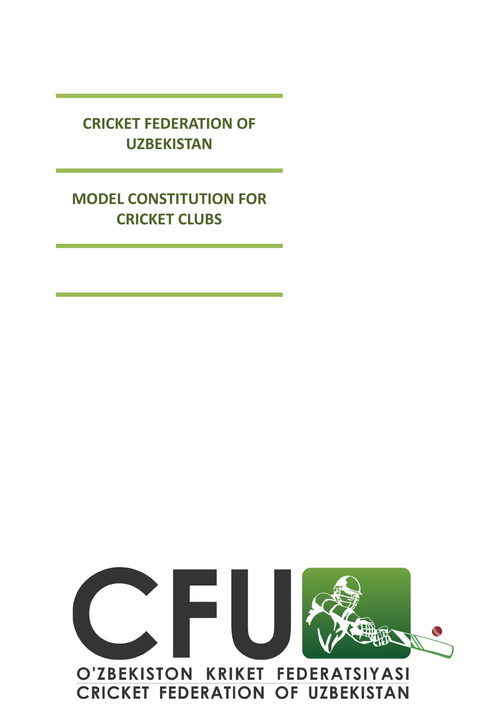**CRICKET FEDERATION OF UZBEKISTAN**

# **MODEL CONSTITUTION FOR CRICKET CLUBS**

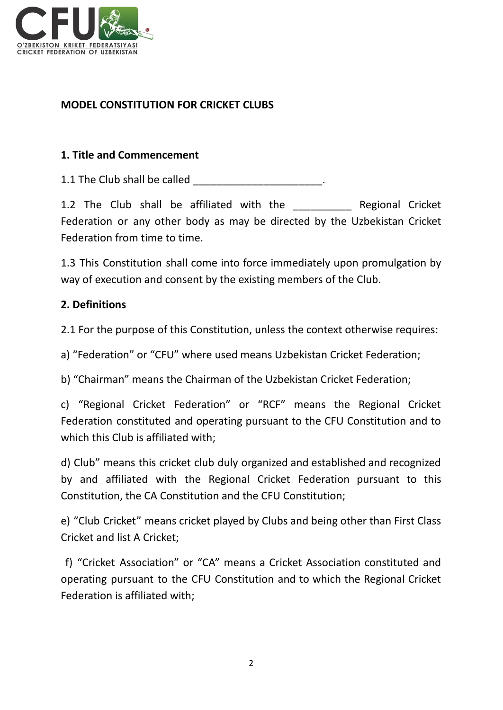

# **MODEL CONSTITUTION FOR CRICKET CLUBS**

## **1. Title and Commencement**

1.1 The Club shall be called **Example 2.1** The Club shall be called

1.2 The Club shall be affiliated with the The Regional Cricket Federation or any other body as may be directed by the Uzbekistan Cricket Federation from time to time.

1.3 This Constitution shall come into force immediately upon promulgation by way of execution and consent by the existing members of the Club.

## **2. Definitions**

2.1 For the purpose of this Constitution, unless the context otherwise requires:

a) "Federation" or "CFU" where used means Uzbekistan Cricket Federation;

b) "Chairman" means the Chairman of the Uzbekistan Cricket Federation;

c) "Regional Cricket Federation" or "RCF" means the Regional Cricket Federation constituted and operating pursuant to the CFU Constitution and to which this Club is affiliated with;

d) Club" means this cricket club duly organized and established and recognized by and affiliated with the Regional Cricket Federation pursuant to this Constitution, the CA Constitution and the CFU Constitution;

e) "Club Cricket" means cricket played by Clubs and being other than First Class Cricket and list A Cricket;

f) "Cricket Association" or "CA" means a Cricket Association constituted and operating pursuant to the CFU Constitution and to which the Regional Cricket Federation is affiliated with;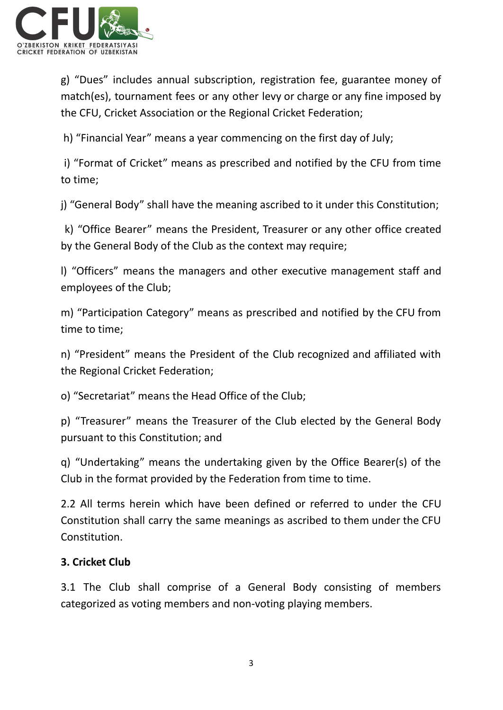

g) "Dues" includes annual subscription, registration fee, guarantee money of match(es), tournament fees or any other levy or charge or any fine imposed by the CFU, Cricket Association or the Regional Cricket Federation;

h) "Financial Year" means a year commencing on the first day of July;

i) "Format of Cricket" means as prescribed and notified by the CFU from time to time;

j) "General Body" shall have the meaning ascribed to it under this Constitution;

k) "Office Bearer" means the President, Treasurer or any other office created by the General Body of the Club as the context may require;

l) "Officers" means the managers and other executive management staff and employees of the Club;

m) "Participation Category" means as prescribed and notified by the CFU from time to time;

n) "President" means the President of the Club recognized and affiliated with the Regional Cricket Federation;

o) "Secretariat" means the Head Office of the Club;

p) "Treasurer" means the Treasurer of the Club elected by the General Body pursuant to this Constitution; and

q) "Undertaking" means the undertaking given by the Office Bearer(s) of the Club in the format provided by the Federation from time to time.

2.2 All terms herein which have been defined or referred to under the CFU Constitution shall carry the same meanings as ascribed to them under the CFU Constitution.

# **3. Cricket Club**

3.1 The Club shall comprise of a General Body consisting of members categorized as voting members and non-voting playing members.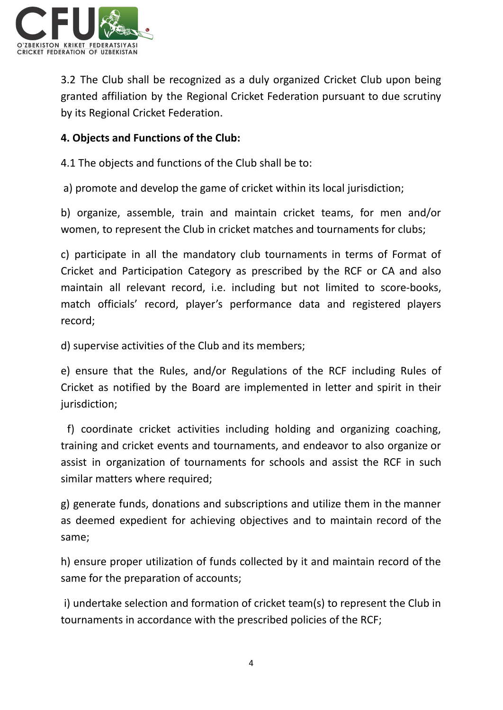

3.2 The Club shall be recognized as a duly organized Cricket Club upon being granted affiliation by the Regional Cricket Federation pursuant to due scrutiny by its Regional Cricket Federation.

## **4. Objects and Functions of the Club:**

4.1 The objects and functions of the Club shall be to:

a) promote and develop the game of cricket within its local jurisdiction;

b) organize, assemble, train and maintain cricket teams, for men and/or women, to represent the Club in cricket matches and tournaments for clubs;

c) participate in all the mandatory club tournaments in terms of Format of Cricket and Participation Category as prescribed by the RCF or CA and also maintain all relevant record, i.e. including but not limited to score-books, match officials' record, player's performance data and registered players record;

d) supervise activities of the Club and its members;

e) ensure that the Rules, and/or Regulations of the RCF including Rules of Cricket as notified by the Board are implemented in letter and spirit in their jurisdiction;

f) coordinate cricket activities including holding and organizing coaching, training and cricket events and tournaments, and endeavor to also organize or assist in organization of tournaments for schools and assist the RCF in such similar matters where required;

g) generate funds, donations and subscriptions and utilize them in the manner as deemed expedient for achieving objectives and to maintain record of the same;

h) ensure proper utilization of funds collected by it and maintain record of the same for the preparation of accounts;

i) undertake selection and formation of cricket team(s) to represent the Club in tournaments in accordance with the prescribed policies of the RCF;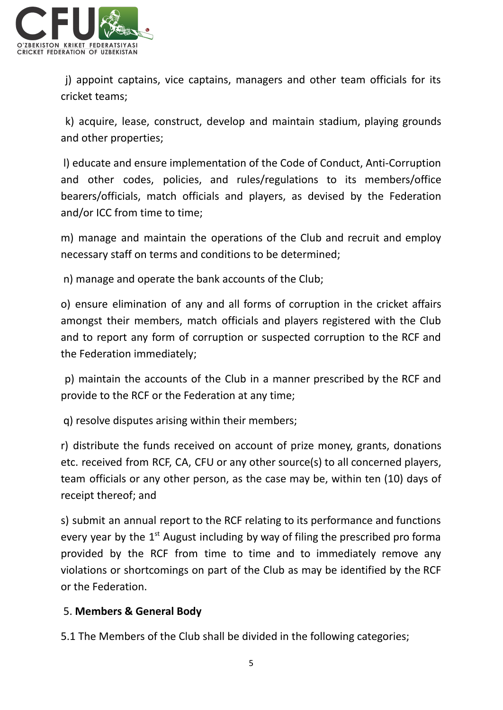

j) appoint captains, vice captains, managers and other team officials for its cricket teams;

k) acquire, lease, construct, develop and maintain stadium, playing grounds and other properties;

l) educate and ensure implementation of the Code of Conduct, Anti-Corruption and other codes, policies, and rules/regulations to its members/office bearers/officials, match officials and players, as devised by the Federation and/or ICC from time to time;

m) manage and maintain the operations of the Club and recruit and employ necessary staff on terms and conditions to be determined;

n) manage and operate the bank accounts of the Club;

o) ensure elimination of any and all forms of corruption in the cricket affairs amongst their members, match officials and players registered with the Club and to report any form of corruption or suspected corruption to the RCF and the Federation immediately;

p) maintain the accounts of the Club in a manner prescribed by the RCF and provide to the RCF or the Federation at any time;

q) resolve disputes arising within their members;

r) distribute the funds received on account of prize money, grants, donations etc. received from RCF, CA, CFU or any other source(s) to all concerned players, team officials or any other person, as the case may be, within ten (10) days of receipt thereof; and

s) submit an annual report to the RCF relating to its performance and functions every year by the  $1<sup>st</sup>$  August including by way of filing the prescribed pro forma provided by the RCF from time to time and to immediately remove any violations or shortcomings on part of the Club as may be identified by the RCF or the Federation.

# 5. **Members & General Body**

5.1 The Members of the Club shall be divided in the following categories;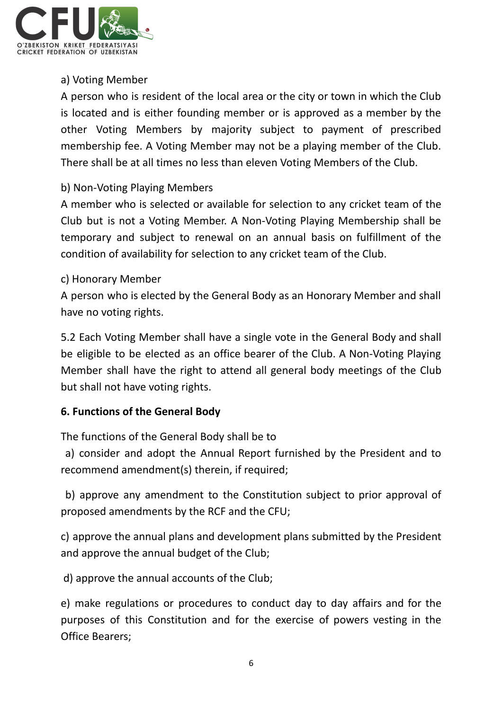

## a) Voting Member

A person who is resident of the local area or the city or town in which the Club is located and is either founding member or is approved as a member by the other Voting Members by majority subject to payment of prescribed membership fee. A Voting Member may not be a playing member of the Club. There shall be at all times no less than eleven Voting Members of the Club.

## b) Non-Voting Playing Members

A member who is selected or available for selection to any cricket team of the Club but is not a Voting Member. A Non-Voting Playing Membership shall be temporary and subject to renewal on an annual basis on fulfillment of the condition of availability for selection to any cricket team of the Club.

## c) Honorary Member

A person who is elected by the General Body as an Honorary Member and shall have no voting rights.

5.2 Each Voting Member shall have a single vote in the General Body and shall be eligible to be elected as an office bearer of the Club. A Non-Voting Playing Member shall have the right to attend all general body meetings of the Club but shall not have voting rights.

## **6. Functions of the General Body**

The functions of the General Body shall be to

a) consider and adopt the Annual Report furnished by the President and to recommend amendment(s) therein, if required;

b) approve any amendment to the Constitution subject to prior approval of proposed amendments by the RCF and the CFU;

c) approve the annual plans and development plans submitted by the President and approve the annual budget of the Club;

d) approve the annual accounts of the Club;

e) make regulations or procedures to conduct day to day affairs and for the purposes of this Constitution and for the exercise of powers vesting in the Office Bearers;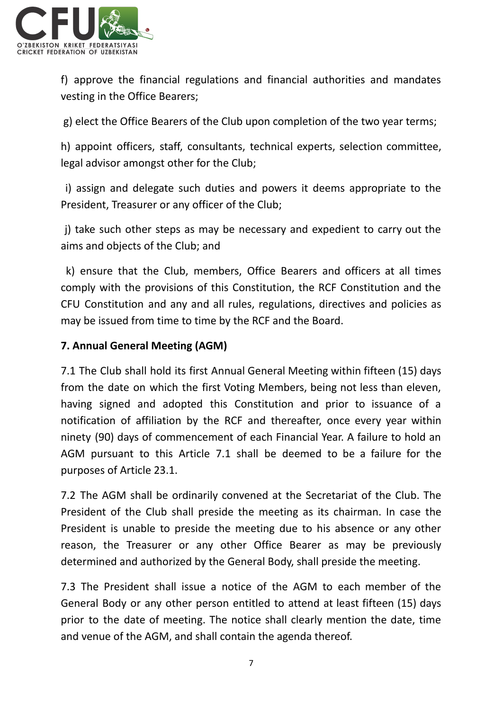

f) approve the financial regulations and financial authorities and mandates vesting in the Office Bearers;

g) elect the Office Bearers of the Club upon completion of the two year terms;

h) appoint officers, staff, consultants, technical experts, selection committee, legal advisor amongst other for the Club;

i) assign and delegate such duties and powers it deems appropriate to the President, Treasurer or any officer of the Club;

j) take such other steps as may be necessary and expedient to carry out the aims and objects of the Club; and

k) ensure that the Club, members, Office Bearers and officers at all times comply with the provisions of this Constitution, the RCF Constitution and the CFU Constitution and any and all rules, regulations, directives and policies as may be issued from time to time by the RCF and the Board.

# **7. Annual General Meeting (AGM)**

7.1 The Club shall hold its first Annual General Meeting within fifteen (15) days from the date on which the first Voting Members, being not less than eleven, having signed and adopted this Constitution and prior to issuance of a notification of affiliation by the RCF and thereafter, once every year within ninety (90) days of commencement of each Financial Year. A failure to hold an AGM pursuant to this Article 7.1 shall be deemed to be a failure for the purposes of Article 23.1.

7.2 The AGM shall be ordinarily convened at the Secretariat of the Club. The President of the Club shall preside the meeting as its chairman. In case the President is unable to preside the meeting due to his absence or any other reason, the Treasurer or any other Office Bearer as may be previously determined and authorized by the General Body, shall preside the meeting.

7.3 The President shall issue a notice of the AGM to each member of the General Body or any other person entitled to attend at least fifteen (15) days prior to the date of meeting. The notice shall clearly mention the date, time and venue of the AGM, and shall contain the agenda thereof.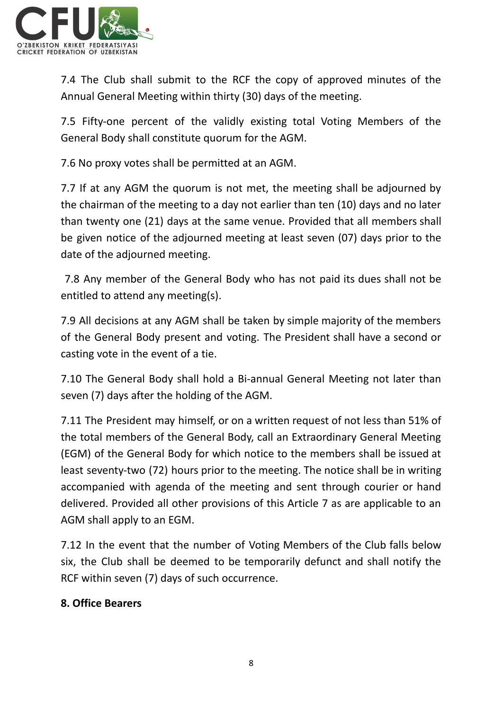

7.4 The Club shall submit to the RCF the copy of approved minutes of the Annual General Meeting within thirty (30) days of the meeting.

7.5 Fifty-one percent of the validly existing total Voting Members of the General Body shall constitute quorum for the AGM.

7.6 No proxy votes shall be permitted at an AGM.

7.7 If at any AGM the quorum is not met, the meeting shall be adjourned by the chairman of the meeting to a day not earlier than ten (10) days and no later than twenty one (21) days at the same venue. Provided that all members shall be given notice of the adjourned meeting at least seven (07) days prior to the date of the adjourned meeting.

7.8 Any member of the General Body who has not paid its dues shall not be entitled to attend any meeting(s).

7.9 All decisions at any AGM shall be taken by simple majority of the members of the General Body present and voting. The President shall have a second or casting vote in the event of a tie.

7.10 The General Body shall hold a Bi-annual General Meeting not later than seven (7) days after the holding of the AGM.

7.11 The President may himself, or on a written request of not less than 51% of the total members of the General Body, call an Extraordinary General Meeting (EGM) of the General Body for which notice to the members shall be issued at least seventy-two (72) hours prior to the meeting. The notice shall be in writing accompanied with agenda of the meeting and sent through courier or hand delivered. Provided all other provisions of this Article 7 as are applicable to an AGM shall apply to an EGM.

7.12 In the event that the number of Voting Members of the Club falls below six, the Club shall be deemed to be temporarily defunct and shall notify the RCF within seven (7) days of such occurrence.

## **8. Office Bearers**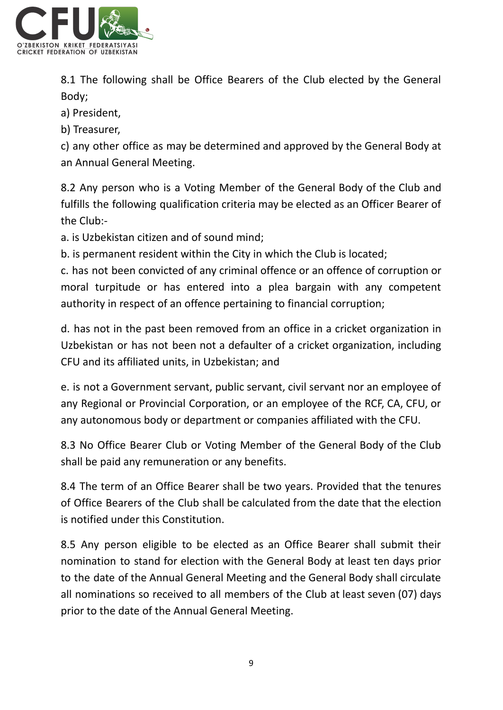

8.1 The following shall be Office Bearers of the Club elected by the General Body;

a) President,

b) Treasurer,

c) any other office as may be determined and approved by the General Body at an Annual General Meeting.

8.2 Any person who is a Voting Member of the General Body of the Club and fulfills the following qualification criteria may be elected as an Officer Bearer of the Club:-

a. is Uzbekistan citizen and of sound mind;

b. is permanent resident within the City in which the Club is located;

c. has not been convicted of any criminal offence or an offence of corruption or moral turpitude or has entered into a plea bargain with any competent authority in respect of an offence pertaining to financial corruption;

d. has not in the past been removed from an office in a cricket organization in Uzbekistan or has not been not a defaulter of a cricket organization, including CFU and its affiliated units, in Uzbekistan; and

e. is not a Government servant, public servant, civil servant nor an employee of any Regional or Provincial Corporation, or an employee of the RCF, CA, CFU, or any autonomous body or department or companies affiliated with the CFU.

8.3 No Office Bearer Club or Voting Member of the General Body of the Club shall be paid any remuneration or any benefits.

8.4 The term of an Office Bearer shall be two years. Provided that the tenures of Office Bearers of the Club shall be calculated from the date that the election is notified under this Constitution.

8.5 Any person eligible to be elected as an Office Bearer shall submit their nomination to stand for election with the General Body at least ten days prior to the date of the Annual General Meeting and the General Body shall circulate all nominations so received to all members of the Club at least seven (07) days prior to the date of the Annual General Meeting.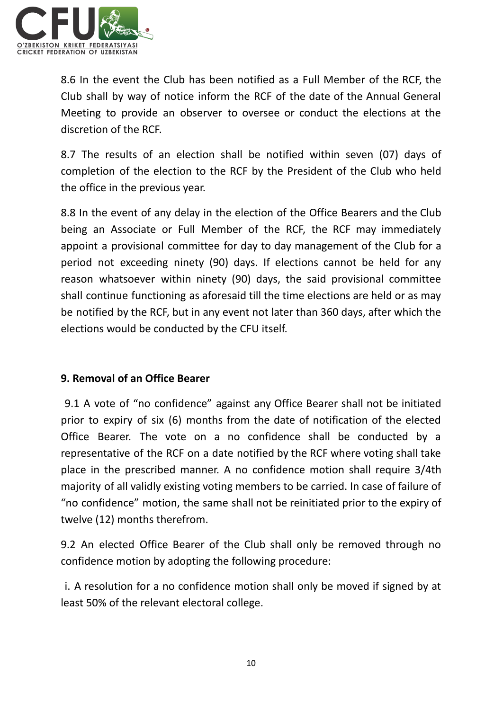

8.6 In the event the Club has been notified as a Full Member of the RCF, the Club shall by way of notice inform the RCF of the date of the Annual General Meeting to provide an observer to oversee or conduct the elections at the discretion of the RCF.

8.7 The results of an election shall be notified within seven (07) days of completion of the election to the RCF by the President of the Club who held the office in the previous year.

8.8 In the event of any delay in the election of the Office Bearers and the Club being an Associate or Full Member of the RCF, the RCF may immediately appoint a provisional committee for day to day management of the Club for a period not exceeding ninety (90) days. If elections cannot be held for any reason whatsoever within ninety (90) days, the said provisional committee shall continue functioning as aforesaid till the time elections are held or as may be notified by the RCF, but in any event not later than 360 days, after which the elections would be conducted by the CFU itself.

## **9. Removal of an Office Bearer**

9.1 A vote of "no confidence" against any Office Bearer shall not be initiated prior to expiry of six (6) months from the date of notification of the elected Office Bearer. The vote on a no confidence shall be conducted by a representative of the RCF on a date notified by the RCF where voting shall take place in the prescribed manner. A no confidence motion shall require 3/4th majority of all validly existing voting members to be carried. In case of failure of "no confidence" motion, the same shall not be reinitiated prior to the expiry of twelve (12) months therefrom.

9.2 An elected Office Bearer of the Club shall only be removed through no confidence motion by adopting the following procedure:

i. A resolution for a no confidence motion shall only be moved if signed by at least 50% of the relevant electoral college.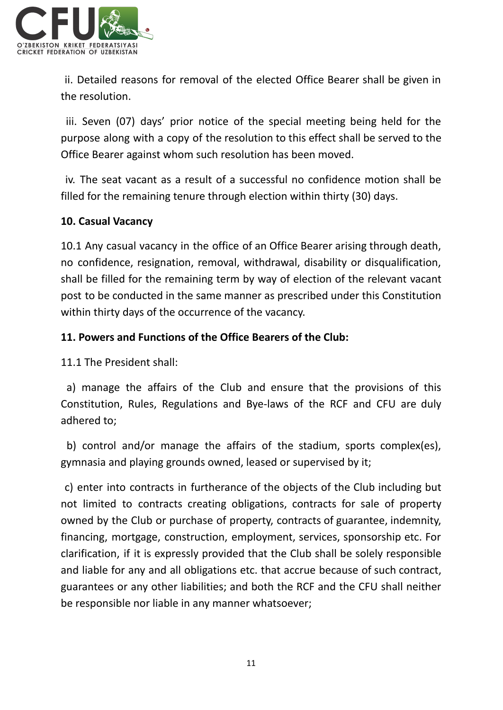

ii. Detailed reasons for removal of the elected Office Bearer shall be given in the resolution.

iii. Seven (07) days' prior notice of the special meeting being held for the purpose along with a copy of the resolution to this effect shall be served to the Office Bearer against whom such resolution has been moved.

iv. The seat vacant as a result of a successful no confidence motion shall be filled for the remaining tenure through election within thirty (30) days.

## **10. Casual Vacancy**

10.1 Any casual vacancy in the office of an Office Bearer arising through death, no confidence, resignation, removal, withdrawal, disability or disqualification, shall be filled for the remaining term by way of election of the relevant vacant post to be conducted in the same manner as prescribed under this Constitution within thirty days of the occurrence of the vacancy.

## **11. Powers and Functions of the Office Bearers of the Club:**

11.1 The President shall:

a) manage the affairs of the Club and ensure that the provisions of this Constitution, Rules, Regulations and Bye-laws of the RCF and CFU are duly adhered to;

b) control and/or manage the affairs of the stadium, sports complex(es), gymnasia and playing grounds owned, leased or supervised by it;

c) enter into contracts in furtherance of the objects of the Club including but not limited to contracts creating obligations, contracts for sale of property owned by the Club or purchase of property, contracts of guarantee, indemnity, financing, mortgage, construction, employment, services, sponsorship etc. For clarification, if it is expressly provided that the Club shall be solely responsible and liable for any and all obligations etc. that accrue because of such contract, guarantees or any other liabilities; and both the RCF and the CFU shall neither be responsible nor liable in any manner whatsoever;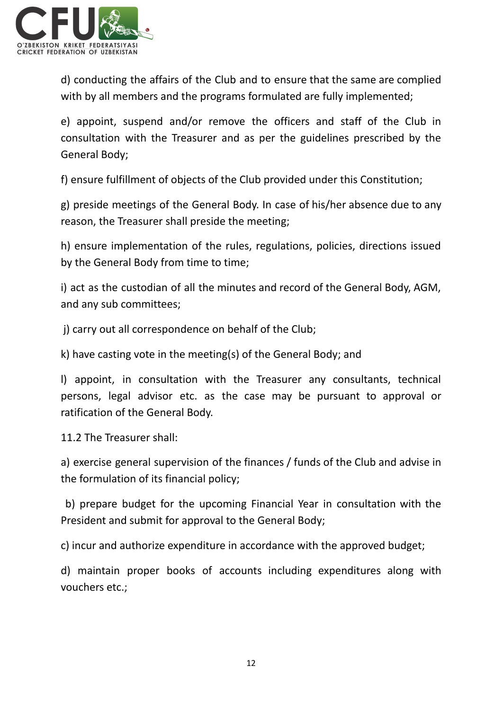

d) conducting the affairs of the Club and to ensure that the same are complied with by all members and the programs formulated are fully implemented;

e) appoint, suspend and/or remove the officers and staff of the Club in consultation with the Treasurer and as per the guidelines prescribed by the General Body;

f) ensure fulfillment of objects of the Club provided under this Constitution;

g) preside meetings of the General Body. In case of his/her absence due to any reason, the Treasurer shall preside the meeting;

h) ensure implementation of the rules, regulations, policies, directions issued by the General Body from time to time;

i) act as the custodian of all the minutes and record of the General Body, AGM, and any sub committees;

j) carry out all correspondence on behalf of the Club;

k) have casting vote in the meeting(s) of the General Body; and

l) appoint, in consultation with the Treasurer any consultants, technical persons, legal advisor etc. as the case may be pursuant to approval or ratification of the General Body.

11.2 The Treasurer shall:

a) exercise general supervision of the finances / funds of the Club and advise in the formulation of its financial policy;

b) prepare budget for the upcoming Financial Year in consultation with the President and submit for approval to the General Body;

c) incur and authorize expenditure in accordance with the approved budget;

d) maintain proper books of accounts including expenditures along with vouchers etc.;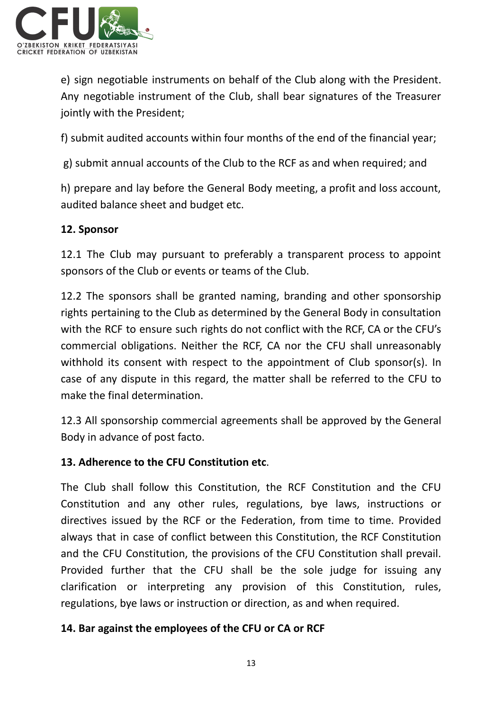

e) sign negotiable instruments on behalf of the Club along with the President. Any negotiable instrument of the Club, shall bear signatures of the Treasurer jointly with the President;

f) submit audited accounts within four months of the end of the financial year;

g) submit annual accounts of the Club to the RCF as and when required; and

h) prepare and lay before the General Body meeting, a profit and loss account, audited balance sheet and budget etc.

## **12. Sponsor**

12.1 The Club may pursuant to preferably a transparent process to appoint sponsors of the Club or events or teams of the Club.

12.2 The sponsors shall be granted naming, branding and other sponsorship rights pertaining to the Club as determined by the General Body in consultation with the RCF to ensure such rights do not conflict with the RCF, CA or the CFU's commercial obligations. Neither the RCF, CA nor the CFU shall unreasonably withhold its consent with respect to the appointment of Club sponsor(s). In case of any dispute in this regard, the matter shall be referred to the CFU to make the final determination.

12.3 All sponsorship commercial agreements shall be approved by the General Body in advance of post facto.

## **13. Adherence to the CFU Constitution etc**.

The Club shall follow this Constitution, the RCF Constitution and the CFU Constitution and any other rules, regulations, bye laws, instructions or directives issued by the RCF or the Federation, from time to time. Provided always that in case of conflict between this Constitution, the RCF Constitution and the CFU Constitution, the provisions of the CFU Constitution shall prevail. Provided further that the CFU shall be the sole judge for issuing any clarification or interpreting any provision of this Constitution, rules, regulations, bye laws or instruction or direction, as and when required.

#### **14. Bar against the employees of the CFU or CA or RCF**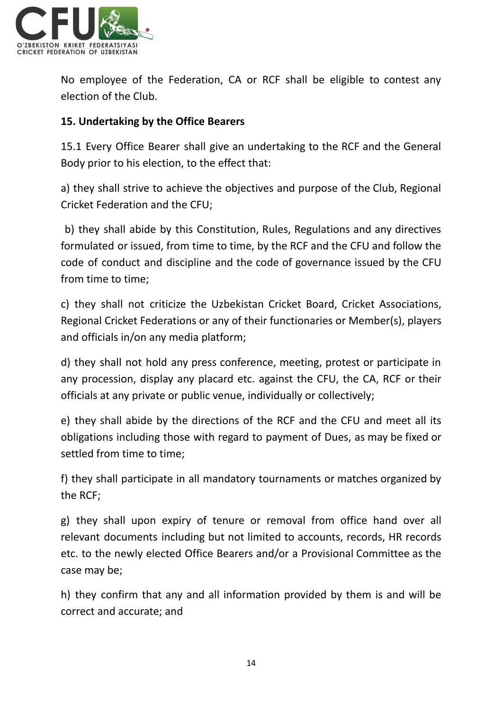

No employee of the Federation, CA or RCF shall be eligible to contest any election of the Club.

## **15. Undertaking by the Office Bearers**

15.1 Every Office Bearer shall give an undertaking to the RCF and the General Body prior to his election, to the effect that:

a) they shall strive to achieve the objectives and purpose of the Club, Regional Cricket Federation and the CFU;

b) they shall abide by this Constitution, Rules, Regulations and any directives formulated or issued, from time to time, by the RCF and the CFU and follow the code of conduct and discipline and the code of governance issued by the CFU from time to time;

c) they shall not criticize the Uzbekistan Cricket Board, Cricket Associations, Regional Cricket Federations or any of their functionaries or Member(s), players and officials in/on any media platform;

d) they shall not hold any press conference, meeting, protest or participate in any procession, display any placard etc. against the CFU, the CA, RCF or their officials at any private or public venue, individually or collectively;

e) they shall abide by the directions of the RCF and the CFU and meet all its obligations including those with regard to payment of Dues, as may be fixed or settled from time to time;

f) they shall participate in all mandatory tournaments or matches organized by the RCF;

g) they shall upon expiry of tenure or removal from office hand over all relevant documents including but not limited to accounts, records, HR records etc. to the newly elected Office Bearers and/or a Provisional Committee as the case may be;

h) they confirm that any and all information provided by them is and will be correct and accurate; and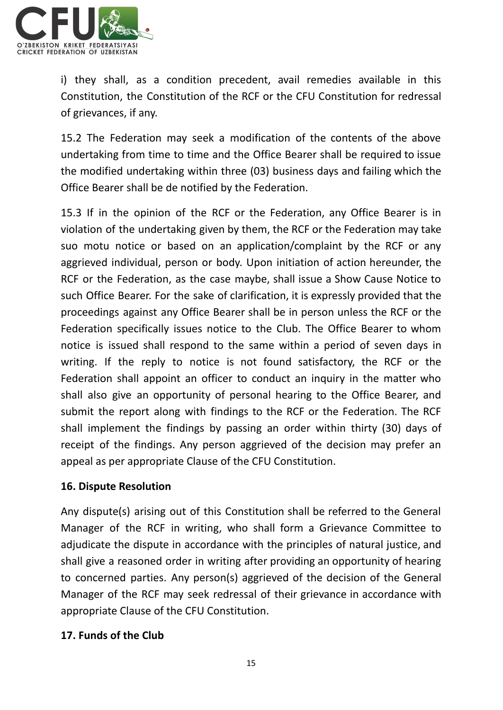

i) they shall, as a condition precedent, avail remedies available in this Constitution, the Constitution of the RCF or the CFU Constitution for redressal of grievances, if any.

15.2 The Federation may seek a modification of the contents of the above undertaking from time to time and the Office Bearer shall be required to issue the modified undertaking within three (03) business days and failing which the Office Bearer shall be de notified by the Federation.

15.3 If in the opinion of the RCF or the Federation, any Office Bearer is in violation of the undertaking given by them, the RCF or the Federation may take suo motu notice or based on an application/complaint by the RCF or any aggrieved individual, person or body. Upon initiation of action hereunder, the RCF or the Federation, as the case maybe, shall issue a Show Cause Notice to such Office Bearer. For the sake of clarification, it is expressly provided that the proceedings against any Office Bearer shall be in person unless the RCF or the Federation specifically issues notice to the Club. The Office Bearer to whom notice is issued shall respond to the same within a period of seven days in writing. If the reply to notice is not found satisfactory, the RCF or the Federation shall appoint an officer to conduct an inquiry in the matter who shall also give an opportunity of personal hearing to the Office Bearer, and submit the report along with findings to the RCF or the Federation. The RCF shall implement the findings by passing an order within thirty (30) days of receipt of the findings. Any person aggrieved of the decision may prefer an appeal as per appropriate Clause of the CFU Constitution.

## **16. Dispute Resolution**

Any dispute(s) arising out of this Constitution shall be referred to the General Manager of the RCF in writing, who shall form a Grievance Committee to adjudicate the dispute in accordance with the principles of natural justice, and shall give a reasoned order in writing after providing an opportunity of hearing to concerned parties. Any person(s) aggrieved of the decision of the General Manager of the RCF may seek redressal of their grievance in accordance with appropriate Clause of the CFU Constitution.

## **17. Funds of the Club**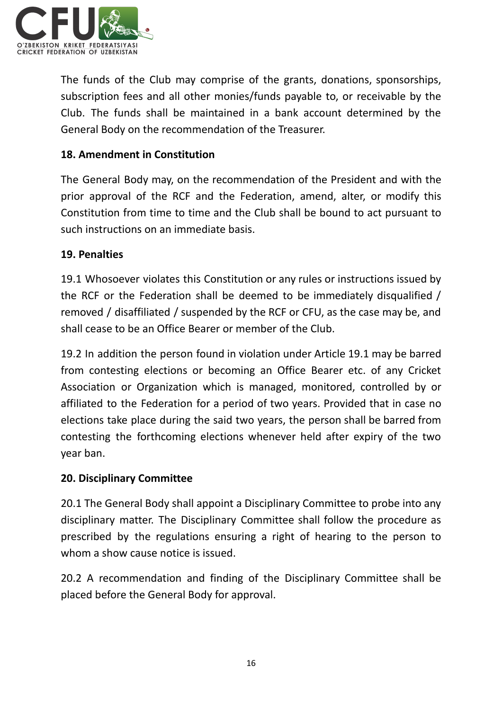

The funds of the Club may comprise of the grants, donations, sponsorships, subscription fees and all other monies/funds payable to, or receivable by the Club. The funds shall be maintained in a bank account determined by the General Body on the recommendation of the Treasurer.

## **18. Amendment in Constitution**

The General Body may, on the recommendation of the President and with the prior approval of the RCF and the Federation, amend, alter, or modify this Constitution from time to time and the Club shall be bound to act pursuant to such instructions on an immediate basis.

## **19. Penalties**

19.1 Whosoever violates this Constitution or any rules or instructions issued by the RCF or the Federation shall be deemed to be immediately disqualified / removed / disaffiliated / suspended by the RCF or CFU, as the case may be, and shall cease to be an Office Bearer or member of the Club.

19.2 In addition the person found in violation under Article 19.1 may be barred from contesting elections or becoming an Office Bearer etc. of any Cricket Association or Organization which is managed, monitored, controlled by or affiliated to the Federation for a period of two years. Provided that in case no elections take place during the said two years, the person shall be barred from contesting the forthcoming elections whenever held after expiry of the two year ban.

## **20. Disciplinary Committee**

20.1 The General Body shall appoint a Disciplinary Committee to probe into any disciplinary matter. The Disciplinary Committee shall follow the procedure as prescribed by the regulations ensuring a right of hearing to the person to whom a show cause notice is issued.

20.2 A recommendation and finding of the Disciplinary Committee shall be placed before the General Body for approval.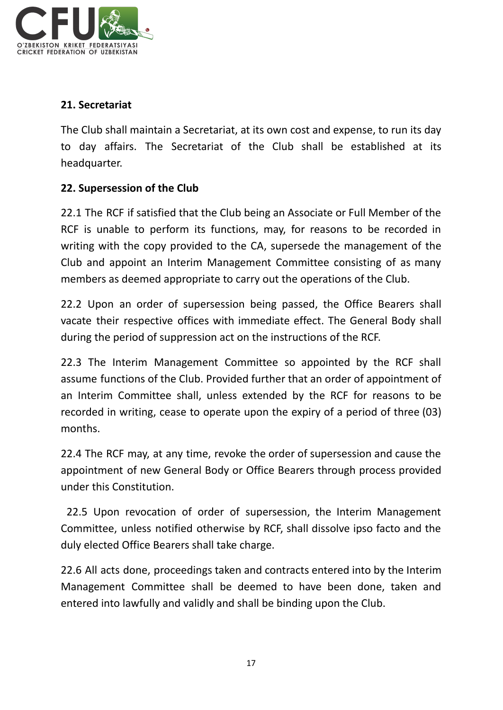

# **21. Secretariat**

The Club shall maintain a Secretariat, at its own cost and expense, to run its day to day affairs. The Secretariat of the Club shall be established at its headquarter.

# **22. Supersession of the Club**

22.1 The RCF if satisfied that the Club being an Associate or Full Member of the RCF is unable to perform its functions, may, for reasons to be recorded in writing with the copy provided to the CA, supersede the management of the Club and appoint an Interim Management Committee consisting of as many members as deemed appropriate to carry out the operations of the Club.

22.2 Upon an order of supersession being passed, the Office Bearers shall vacate their respective offices with immediate effect. The General Body shall during the period of suppression act on the instructions of the RCF.

22.3 The Interim Management Committee so appointed by the RCF shall assume functions of the Club. Provided further that an order of appointment of an Interim Committee shall, unless extended by the RCF for reasons to be recorded in writing, cease to operate upon the expiry of a period of three (03) months.

22.4 The RCF may, at any time, revoke the order of supersession and cause the appointment of new General Body or Office Bearers through process provided under this Constitution.

22.5 Upon revocation of order of supersession, the Interim Management Committee, unless notified otherwise by RCF, shall dissolve ipso facto and the duly elected Office Bearers shall take charge.

22.6 All acts done, proceedings taken and contracts entered into by the Interim Management Committee shall be deemed to have been done, taken and entered into lawfully and validly and shall be binding upon the Club.